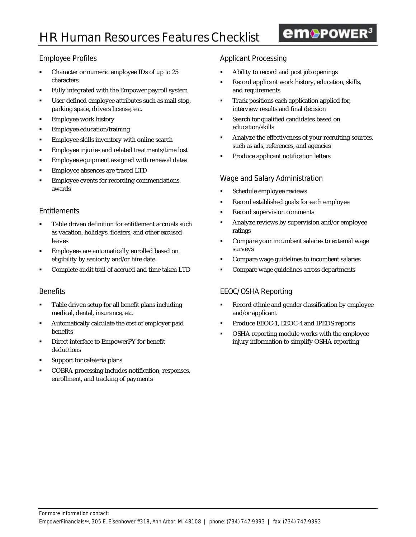# em<sup>O</sup>POWER<sup>3</sup>

# Employee Profiles

- Character or numeric employee IDs of up to 25 characters
- ß Fully integrated with the Empower payroll system
- User-defined employee attributes such as mail stop, parking space, drivers license, etc.
- **Employee work history**
- ß Employee education/training
- ß Employee skills inventory with online search
- ß Employee injuries and related treatments/time lost
- ß Employee equipment assigned with renewal dates
- ß Employee absences are traced LTD
- ß Employee events for recording commendations, awards

#### **Entitlements**

- ß Table driven definition for entitlement accruals such as vacation, holidays, floaters, and other excused leaves
- ß Employees are automatically enrolled based on eligibility by seniority and/or hire date
- ß Complete audit trail of accrued and time taken LTD

#### **Benefits**

- ß Table driven setup for all benefit plans including medical, dental, insurance, etc.
- **•** Automatically calculate the cost of employer paid benefits
- ß Direct interface to EmpowerPY for benefit deductions
- Support for cafeteria plans
- ß COBRA processing includes notification, responses, enrollment, and tracking of payments

# Applicant Processing

- ß Ability to record and post job openings
- ß Record applicant work history, education, skills, and requirements
- ß Track positions each application applied for, interview results and final decision
- **Search for qualified candidates based on** education/skills
- **Analyze the effectiveness of your recruiting sources,** such as ads, references, and agencies
- ß Produce applicant notification letters

### Wage and Salary Administration

- ß Schedule employee reviews
- ß Record established goals for each employee
- ß Record supervision comments
- ß Analyze reviews by supervision and/or employee ratings
- **•** Compare your incumbent salaries to external wage surveys
- ß Compare wage guidelines to incumbent salaries
- ß Compare wage guidelines across departments

# EEOC/OSHA Reporting

- ß Record ethnic and gender classification by employee and/or applicant
- ß Produce EEOC-1, EEOC-4 and IPEDS reports
- ß OSHA reporting module works with the employee injury information to simplify OSHA reporting